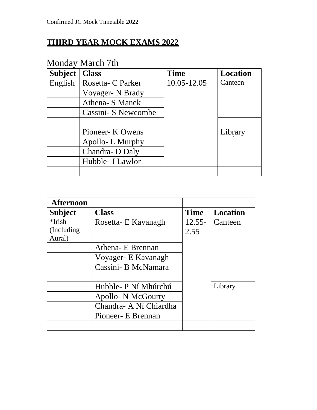### **THIRD YEAR MOCK EXAMS 2022**

| <b>Subject</b> | <b>Class</b>         | <b>Time</b> | <b>Location</b> |
|----------------|----------------------|-------------|-----------------|
| English        | Rosetta- C Parker    | 10.05-12.05 | Canteen         |
|                | Voyager- N Brady     |             |                 |
|                | Athena- S Manek      |             |                 |
|                | Cassini - S Newcombe |             |                 |
|                |                      |             |                 |
|                | Pioneer- K Owens     |             | Library         |
|                | Apollo-L Murphy      |             |                 |
|                | Chandra-D Daly       |             |                 |
|                | Hubble- J Lawlor     |             |                 |
|                |                      |             |                 |

#### Monday March 7th

| <b>Afternoon</b> |                           |             |          |
|------------------|---------------------------|-------------|----------|
| <b>Subject</b>   | <b>Class</b>              | <b>Time</b> | Location |
| $*$ Irish        | Rosetta- E Kavanagh       | $12.55 -$   | Canteen  |
| (Including)      |                           | 2.55        |          |
| Aural)           |                           |             |          |
|                  | Athena- E Brennan         |             |          |
|                  | Voyager- E Kavanagh       |             |          |
|                  | Cassini- B McNamara       |             |          |
|                  |                           |             |          |
|                  | Hubble- P Ní Mhúrchú      |             | Library  |
|                  | <b>Apollo- N McGourty</b> |             |          |
|                  | Chandra- A Ní Chiardha    |             |          |
|                  | Pioneer - E Brennan       |             |          |
|                  |                           |             |          |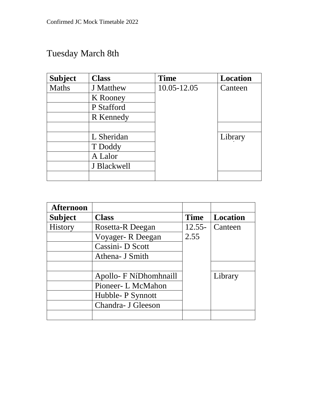# Tuesday March 8th

| <b>Subject</b> | <b>Class</b>     | <b>Time</b> | <b>Location</b> |
|----------------|------------------|-------------|-----------------|
| <b>Maths</b>   | <b>J</b> Matthew | 10.05-12.05 | Canteen         |
|                | K Rooney         |             |                 |
|                | P Stafford       |             |                 |
|                | R Kennedy        |             |                 |
|                |                  |             |                 |
|                | L Sheridan       |             | Library         |
|                | T Doddy          |             |                 |
|                | A Lalor          |             |                 |
|                | J Blackwell      |             |                 |
|                |                  |             |                 |

| <b>Afternoon</b> |                        |             |                 |
|------------------|------------------------|-------------|-----------------|
| <b>Subject</b>   | <b>Class</b>           | <b>Time</b> | <b>Location</b> |
| <b>History</b>   | Rosetta-R Deegan       | $12.55 -$   | Canteen         |
|                  | Voyager-R Deegan       | 2.55        |                 |
|                  | Cassini-D Scott        |             |                 |
|                  | Athena- J Smith        |             |                 |
|                  |                        |             |                 |
|                  | Apollo- F NíDhomhnaill |             | Library         |
|                  | Pioneer- L McMahon     |             |                 |
|                  | Hubble- P Synnott      |             |                 |
|                  | Chandra- J Gleeson     |             |                 |
|                  |                        |             |                 |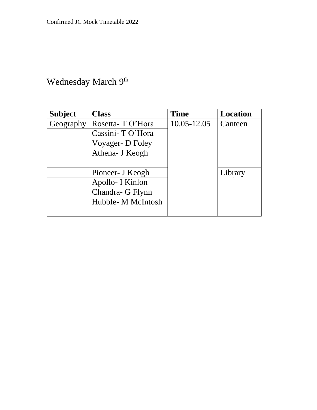#### Wednesday March 9<sup>th</sup>

| <b>Subject</b> | <b>Class</b>       | <b>Time</b>     | <b>Location</b> |
|----------------|--------------------|-----------------|-----------------|
| Geography      | Rosetta-TO'Hora    | $10.05 - 12.05$ | Canteen         |
|                | Cassini- TO'Hora   |                 |                 |
|                | Voyager- D Foley   |                 |                 |
|                | Athena- J Keogh    |                 |                 |
|                |                    |                 |                 |
|                | Pioneer- J Keogh   |                 | Library         |
|                | Apollo- I Kinlon   |                 |                 |
|                | Chandra- G Flynn   |                 |                 |
|                | Hubble- M McIntosh |                 |                 |
|                |                    |                 |                 |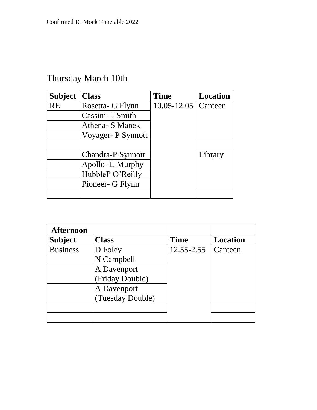## Thursday March 10th

| <b>Subject</b> | <b>Class</b>       | <b>Time</b>     | <b>Location</b> |
|----------------|--------------------|-----------------|-----------------|
| <b>RE</b>      | Rosetta- G Flynn   | $10.05 - 12.05$ | Canteen         |
|                | Cassini- J Smith   |                 |                 |
|                | Athena- S Manek    |                 |                 |
|                | Voyager- P Synnott |                 |                 |
|                |                    |                 |                 |
|                | Chandra-P Synnott  |                 | Library         |
|                | Apollo-L Murphy    |                 |                 |
|                | HubbleP O'Reilly   |                 |                 |
|                | Pioneer- G Flynn   |                 |                 |
|                |                    |                 |                 |

| Afternoon       |                  |             |          |
|-----------------|------------------|-------------|----------|
| <b>Subject</b>  | <b>Class</b>     | <b>Time</b> | Location |
| <b>Business</b> | D Foley          | 12.55-2.55  | Canteen  |
|                 | N Campbell       |             |          |
|                 | A Davenport      |             |          |
|                 | (Friday Double)  |             |          |
|                 | A Davenport      |             |          |
|                 | (Tuesday Double) |             |          |
|                 |                  |             |          |
|                 |                  |             |          |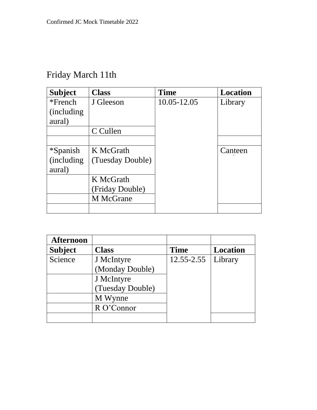# Friday March 11th

| <b>Subject</b>     | <b>Class</b>     | <b>Time</b> | <b>Location</b> |
|--------------------|------------------|-------------|-----------------|
| $*$ French         | J Gleeson        | 10.05-12.05 | Library         |
| (including)        |                  |             |                 |
| aural)             |                  |             |                 |
|                    | C Cullen         |             |                 |
|                    |                  |             |                 |
| <i>*Spanish</i>    | K McGrath        |             | Canteen         |
| <i>(including)</i> | (Tuesday Double) |             |                 |
| aural)             |                  |             |                 |
|                    | K McGrath        |             |                 |
|                    | (Friday Double)  |             |                 |
|                    | M McGrane        |             |                 |
|                    |                  |             |                 |

| <b>Afternoon</b> |                  |                |                 |
|------------------|------------------|----------------|-----------------|
| <b>Subject</b>   | <b>Class</b>     | <b>Time</b>    | <b>Location</b> |
| Science          | J McIntyre       | $12.55 - 2.55$ | Library         |
|                  | (Monday Double)  |                |                 |
|                  | J McIntyre       |                |                 |
|                  | (Tuesday Double) |                |                 |
|                  | M Wynne          |                |                 |
|                  | R O'Connor       |                |                 |
|                  |                  |                |                 |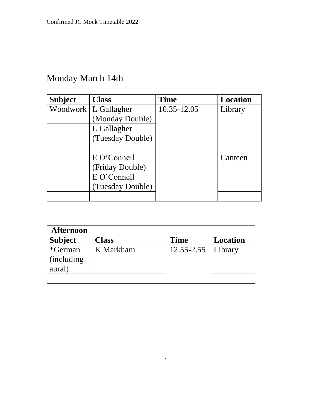## Monday March 14th

| <b>Subject</b> | <b>Class</b>     | Time        | <b>Location</b> |
|----------------|------------------|-------------|-----------------|
| Woodwork       | L Gallagher      | 10.35-12.05 | Library         |
|                | (Monday Double)  |             |                 |
|                | L Gallagher      |             |                 |
|                | (Tuesday Double) |             |                 |
|                |                  |             |                 |
|                | E O'Connell      |             | Canteen         |
|                | (Friday Double)  |             |                 |
|                | E O'Connell      |             |                 |
|                | (Tuesday Double) |             |                 |
|                |                  |             |                 |

| <b>Afternoon</b>                        |              |             |                 |
|-----------------------------------------|--------------|-------------|-----------------|
| <b>Subject</b>                          | <b>Class</b> | <b>Time</b> | <b>Location</b> |
| *German<br><i>(including)</i><br>aural) | K Markham    | 12.55-2.55  | Library         |
|                                         |              |             |                 |

 $\Delta\sim 10^4$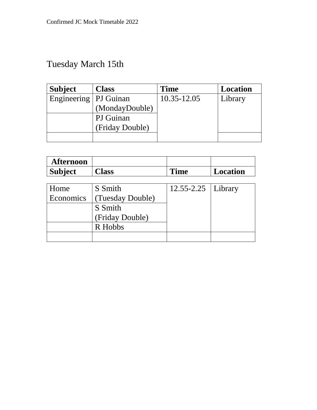# Tuesday March 15th

| <b>Subject</b>          | <b>Class</b>    | <b>Time</b> | <b>Location</b> |
|-------------------------|-----------------|-------------|-----------------|
| Engineering   PJ Guinan |                 | 10.35-12.05 | Library         |
|                         | (MondayDouble)  |             |                 |
|                         | PJ Guinan       |             |                 |
|                         | (Friday Double) |             |                 |
|                         |                 |             |                 |

| <b>Afternoon</b> |                  |             |                 |
|------------------|------------------|-------------|-----------------|
| <b>Subject</b>   | <b>Class</b>     | <b>Time</b> | <b>Location</b> |
|                  |                  |             |                 |
| Home             | S Smith          | 12.55-2.25  | Library         |
| Economics        | (Tuesday Double) |             |                 |
|                  | S Smith          |             |                 |
|                  | (Friday Double)  |             |                 |
|                  | R Hobbs          |             |                 |
|                  |                  |             |                 |